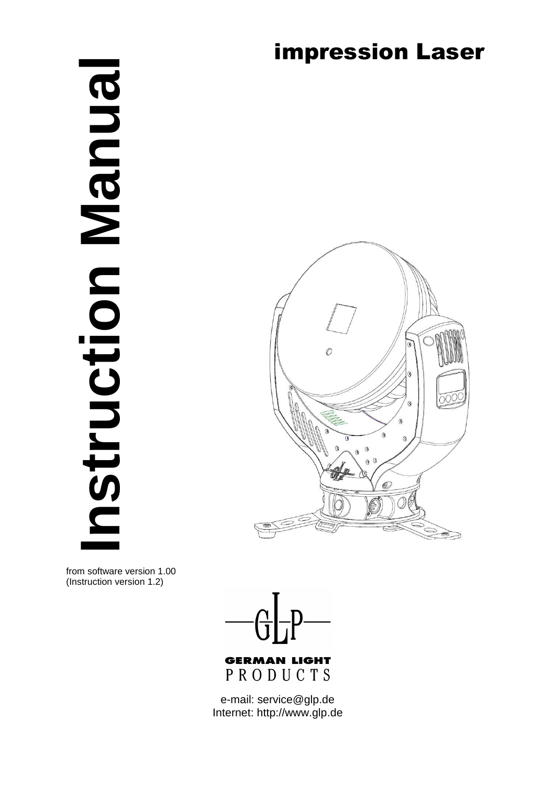# **Instruction Manual BNDBN** Struction

# impression Laser



from software version 1.00 (Instruction version 1.2)



**GERMAN LIGHT** PRODUCTS

e-mail: service@glp.de Internet: http://www.glp.de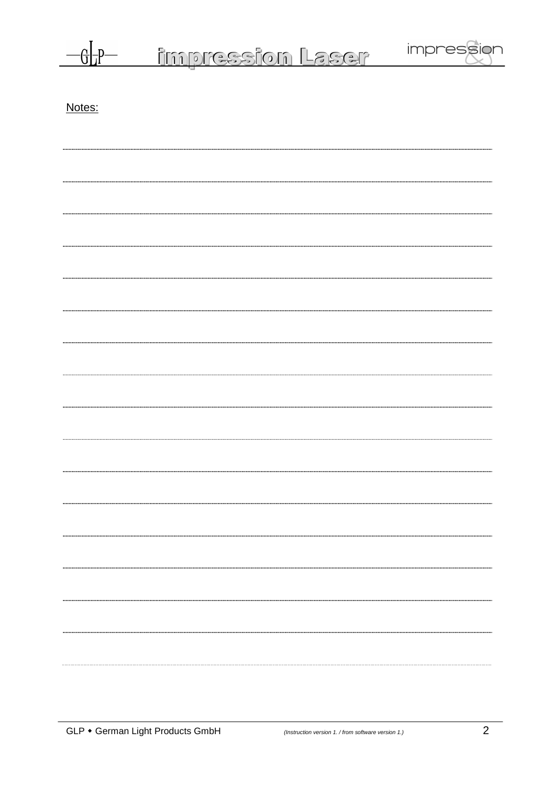|        | <u>impression Laser</u> | impression |
|--------|-------------------------|------------|
| Notes: |                         |            |
|        |                         |            |
|        |                         |            |
|        |                         |            |
|        |                         |            |
|        |                         |            |
|        |                         |            |
|        |                         |            |
|        |                         |            |
|        |                         |            |
|        |                         |            |
|        |                         |            |
|        |                         |            |
|        |                         |            |
|        |                         |            |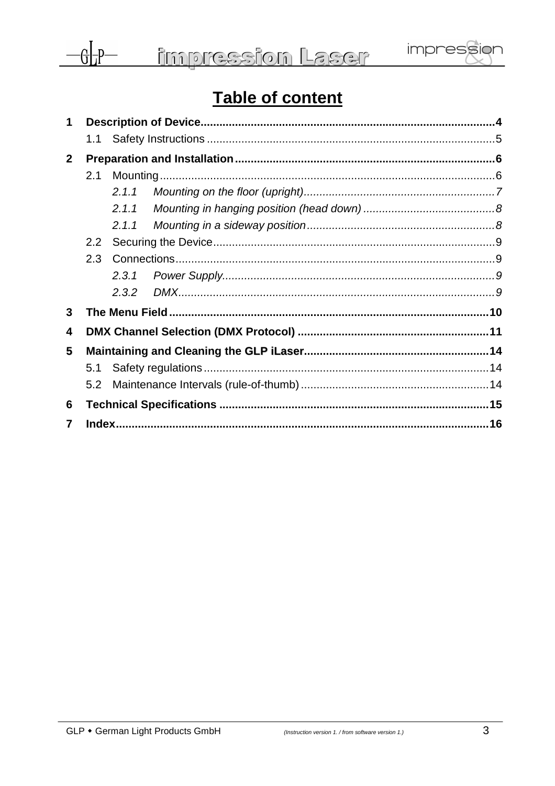

# Table of content

| $\mathbf 1$    |     |       |  |  |
|----------------|-----|-------|--|--|
|                |     |       |  |  |
| $\overline{2}$ |     |       |  |  |
|                | 2.1 |       |  |  |
|                |     | 2.1.1 |  |  |
|                |     |       |  |  |
|                |     |       |  |  |
|                | 2.2 |       |  |  |
|                | 2.3 |       |  |  |
|                |     |       |  |  |
|                |     |       |  |  |
| 3              |     |       |  |  |
| 4              |     |       |  |  |
| 5              |     |       |  |  |
|                | 5.1 |       |  |  |
|                | 5.2 |       |  |  |
| 6              |     |       |  |  |
| 7              |     |       |  |  |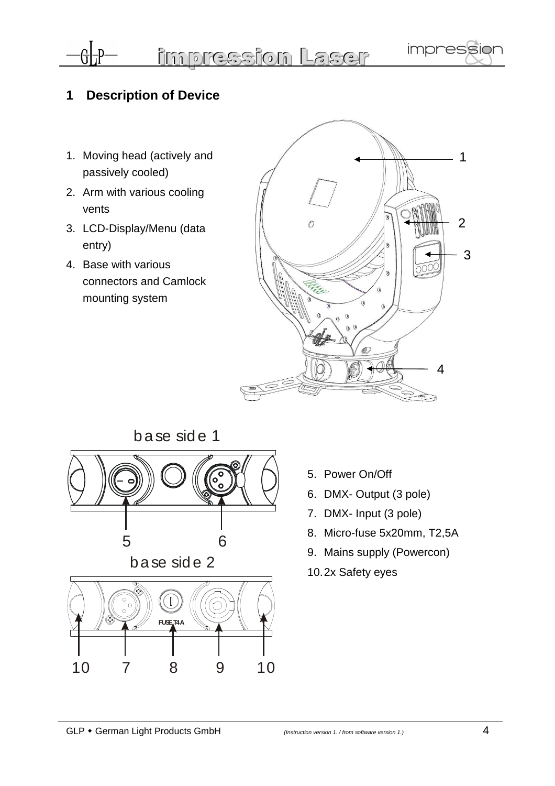# **1 Description of Device**

 $\frac{1}{2}$ 

impression Laser

- 1. Moving head (actively and passively cooled)
- 2. Arm with various cooling vents
- 3. LCD-Display/Menu (data entry)
- 4. Base with various connectors and Camlock mounting system





- 5. Power On/Off
- 6. DMX- Output (3 pole)
- 7. DMX- Input (3 pole)
- 8. Micro-fuse 5x20mm, T2,5A
- 9. Mains supply (Powercon)
- 10. 2x Safety eyes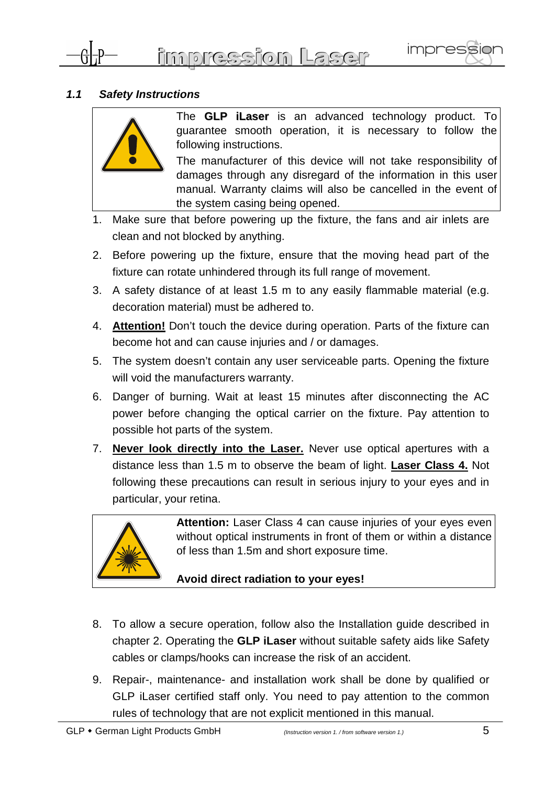

### **1.1 Safety Instructions**



The **GLP iLaser** is an advanced technology product. To guarantee smooth operation, it is necessary to follow the following instructions.

The manufacturer of this device will not take responsibility of damages through any disregard of the information in this user manual. Warranty claims will also be cancelled in the event of the system casing being opened.

- 1. Make sure that before powering up the fixture, the fans and air inlets are clean and not blocked by anything.
- 2. Before powering up the fixture, ensure that the moving head part of the fixture can rotate unhindered through its full range of movement.
- 3. A safety distance of at least 1.5 m to any easily flammable material (e.g. decoration material) must be adhered to.
- 4. **Attention!** Don't touch the device during operation. Parts of the fixture can become hot and can cause injuries and / or damages.
- 5. The system doesn't contain any user serviceable parts. Opening the fixture will void the manufacturers warranty.
- 6. Danger of burning. Wait at least 15 minutes after disconnecting the AC power before changing the optical carrier on the fixture. Pay attention to possible hot parts of the system.
- 7. **Never look directly into the Laser.** Never use optical apertures with a distance less than 1.5 m to observe the beam of light. **Laser Class 4.** Not following these precautions can result in serious injury to your eyes and in particular, your retina.



**Attention:** Laser Class 4 can cause injuries of your eyes even without optical instruments in front of them or within a distance of less than 1.5m and short exposure time.

# **Avoid direct radiation to your eyes!**

- 8. To allow a secure operation, follow also the Installation guide described in chapter 2. Operating the **GLP iLaser** without suitable safety aids like Safety cables or clamps/hooks can increase the risk of an accident.
- 9. Repair-, maintenance- and installation work shall be done by qualified or GLP iLaser certified staff only. You need to pay attention to the common rules of technology that are not explicit mentioned in this manual.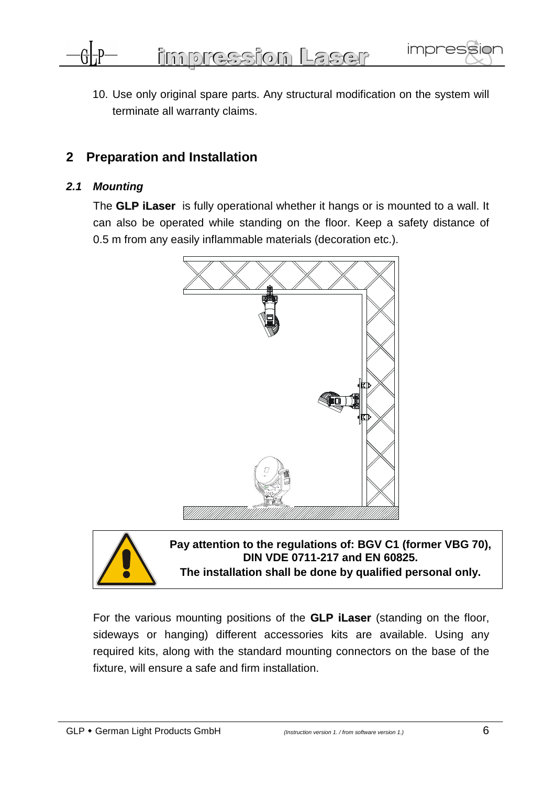

10. Use only original spare parts. Any structural modification on the system will terminate all warranty claims.

# **2 Preparation and Installation**

### **2.1 Mounting**

The **GLP iLaser** is fully operational whether it hangs or is mounted to a wall. It can also be operated while standing on the floor. Keep a safety distance of 0.5 m from any easily inflammable materials (decoration etc.).





**Pay attention to the regulations of: BGV C1 (former VBG 70), DIN VDE 0711-217 and EN 60825.** 

**The installation shall be done by qualified personal only.** 

For the various mounting positions of the **GLP iLaser** (standing on the floor, sideways or hanging) different accessories kits are available. Using any required kits, along with the standard mounting connectors on the base of the fixture, will ensure a safe and firm installation.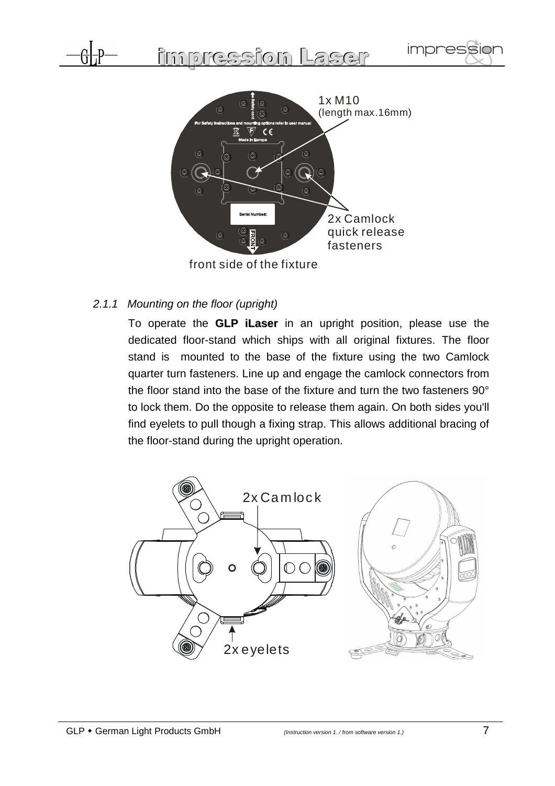



front side of the fixture

2.1.1 Mounting on the floor (upright)

To operate the **GLP iLaser** in an upright position, please use the dedicated floor-stand which ships with all original fixtures. The floor stand is mounted to the base of the fixture using the two Camlock quarter turn fasteners. Line up and engage the camlock connectors from the floor stand into the base of the fixture and turn the two fasteners 90° to lock them. Do the opposite to release them again. On both sides you'll find eyelets to pull though a fixing strap. This allows additional bracing of the floor-stand during the upright operation.

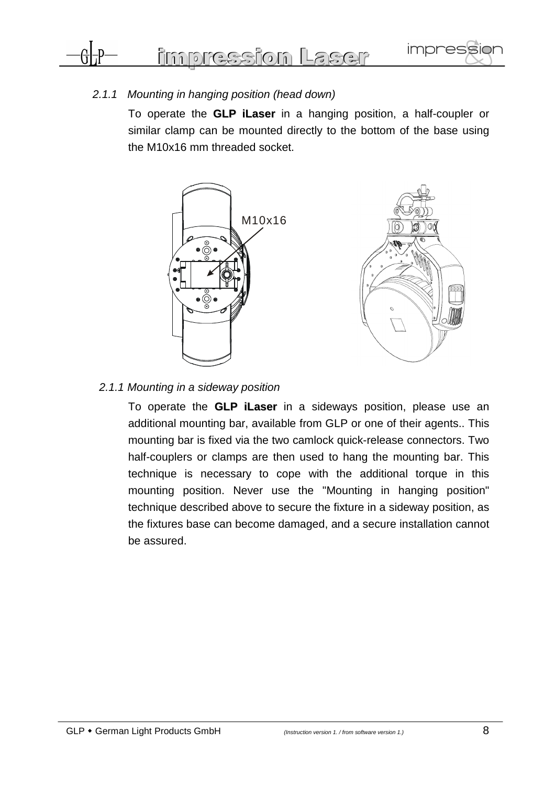

### 2.1.1 Mounting in hanging position (head down)

To operate the **GLP iLaser** in a hanging position, a half-coupler or similar clamp can be mounted directly to the bottom of the base using the M10x16 mm threaded socket.



#### 2.1.1 Mounting in a sideway position

To operate the **GLP iLaser** in a sideways position, please use an additional mounting bar, available from GLP or one of their agents.. This mounting bar is fixed via the two camlock quick-release connectors. Two half-couplers or clamps are then used to hang the mounting bar. This technique is necessary to cope with the additional torque in this mounting position. Never use the "Mounting in hanging position" technique described above to secure the fixture in a sideway position, as the fixtures base can become damaged, and a secure installation cannot be assured.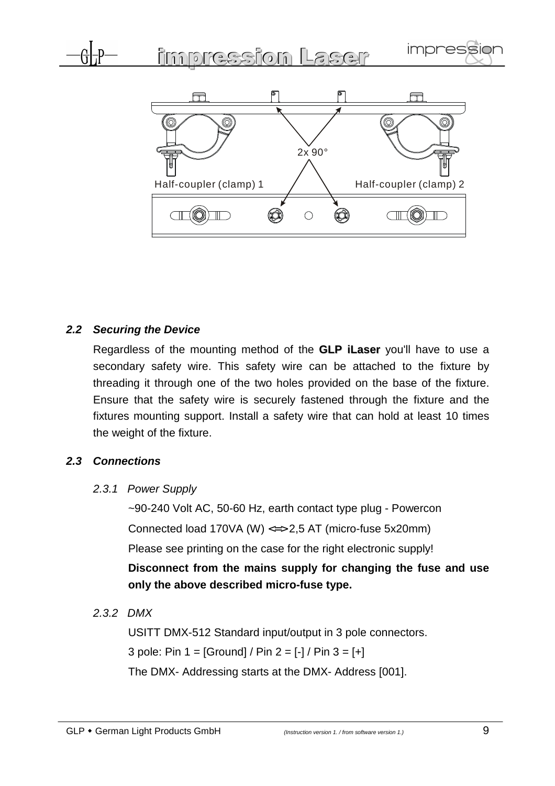

# **2.2 Securing the Device**

Regardless of the mounting method of the **GLP iLaser** you'll have to use a secondary safety wire. This safety wire can be attached to the fixture by threading it through one of the two holes provided on the base of the fixture. Ensure that the safety wire is securely fastened through the fixture and the fixtures mounting support. Install a safety wire that can hold at least 10 times the weight of the fixture.

# **2.3 Connections**

### 2.3.1 Power Supply

~90-240 Volt AC, 50-60 Hz, earth contact type plug - Powercon Connected load 170VA (W)  $\leq$  > 2,5 AT (micro-fuse 5x20mm) Please see printing on the case for the right electronic supply!

**Disconnect from the mains supply for changing the fuse and use only the above described micro-fuse type.** 

2.3.2 DMX

USITT DMX-512 Standard input/output in 3 pole connectors. 3 pole: Pin  $1 = [Ground] / Pin 2 = [-] / Pin 3 = [+]$ 

The DMX- Addressing starts at the DMX- Address [001].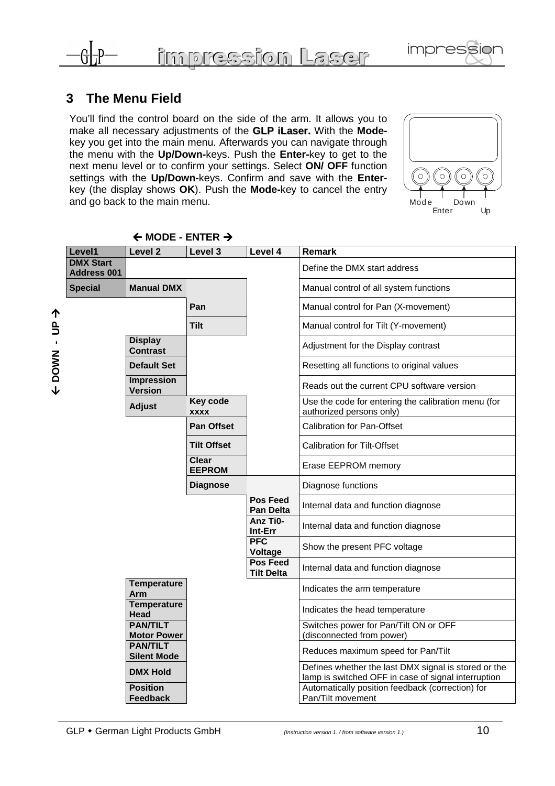



Enter Up

 $\overline{C}$ 

 $\circ$ 

 $\bigcirc$ 

# **3 The Menu Field**

 $\bm \downarrow$ 

 **DOWN - UP** 

ሳ

You'll find the control board on the side of the arm. It allows you to make all necessary adjustments of the **GLP iLaser.** With the **Mode**key you get into the main menu. Afterwards you can navigate through the menu with the **Up/Down-**keys. Push the **Enter-**key to get to the next menu level or to confirm your settings. Select **ON/ OFF** function settings with the **Up/Down-**keys. Confirm and save with the **Enter**key (the display shows **OK**). Push the **Mode-**key to cancel the entry and go back to the main menu.  $\overline{\phantom{a}}$  and go back to the main menu.

| Level1                                 | Level <sub>2</sub>                    | Level 3                       | Level 4                              | <b>Remark</b>                                                                                               |
|----------------------------------------|---------------------------------------|-------------------------------|--------------------------------------|-------------------------------------------------------------------------------------------------------------|
| <b>DMX Start</b><br><b>Address 001</b> |                                       |                               |                                      | Define the DMX start address                                                                                |
| <b>Special</b>                         | <b>Manual DMX</b>                     |                               |                                      | Manual control of all system functions                                                                      |
|                                        |                                       | Pan                           |                                      | Manual control for Pan (X-movement)                                                                         |
|                                        |                                       | Tilt                          |                                      | Manual control for Tilt (Y-movement)                                                                        |
|                                        | <b>Display</b><br><b>Contrast</b>     |                               |                                      | Adjustment for the Display contrast                                                                         |
|                                        | <b>Default Set</b>                    |                               |                                      | Resetting all functions to original values                                                                  |
|                                        | <b>Impression</b><br><b>Version</b>   |                               |                                      | Reads out the current CPU software version                                                                  |
|                                        | <b>Adjust</b>                         | Key code<br><b>XXXX</b>       |                                      | Use the code for entering the calibration menu (for<br>authorized persons only)                             |
|                                        |                                       | <b>Pan Offset</b>             |                                      | <b>Calibration for Pan-Offset</b>                                                                           |
|                                        |                                       | <b>Tilt Offset</b>            |                                      | <b>Calibration for Tilt-Offset</b>                                                                          |
|                                        |                                       | <b>Clear</b><br><b>EEPROM</b> |                                      | Erase EEPROM memory                                                                                         |
|                                        |                                       | <b>Diagnose</b>               |                                      | Diagnose functions                                                                                          |
|                                        |                                       |                               | <b>Pos Feed</b><br>Pan Delta         | Internal data and function diagnose                                                                         |
|                                        |                                       |                               | Anz Ti0-<br>Int-Err                  | Internal data and function diagnose                                                                         |
|                                        |                                       |                               | <b>PFC</b><br>Voltage                | Show the present PFC voltage                                                                                |
|                                        |                                       |                               | <b>Pos Feed</b><br><b>Tilt Delta</b> | Internal data and function diagnose                                                                         |
|                                        | <b>Temperature</b><br>Arm             |                               |                                      | Indicates the arm temperature                                                                               |
|                                        | <b>Temperature</b><br>Head            |                               |                                      | Indicates the head temperature                                                                              |
|                                        | <b>PAN/TILT</b><br><b>Motor Power</b> |                               |                                      | Switches power for Pan/Tilt ON or OFF<br>(disconnected from power)                                          |
|                                        | <b>PAN/TILT</b><br><b>Silent Mode</b> |                               |                                      | Reduces maximum speed for Pan/Tilt                                                                          |
|                                        | <b>DMX Hold</b>                       |                               |                                      | Defines whether the last DMX signal is stored or the<br>lamp is switched OFF in case of signal interruption |
|                                        | <b>Position</b><br>Feedback           |                               |                                      | Automatically position feedback (correction) for<br>Pan/Tilt movement                                       |

← MODE - ENTER →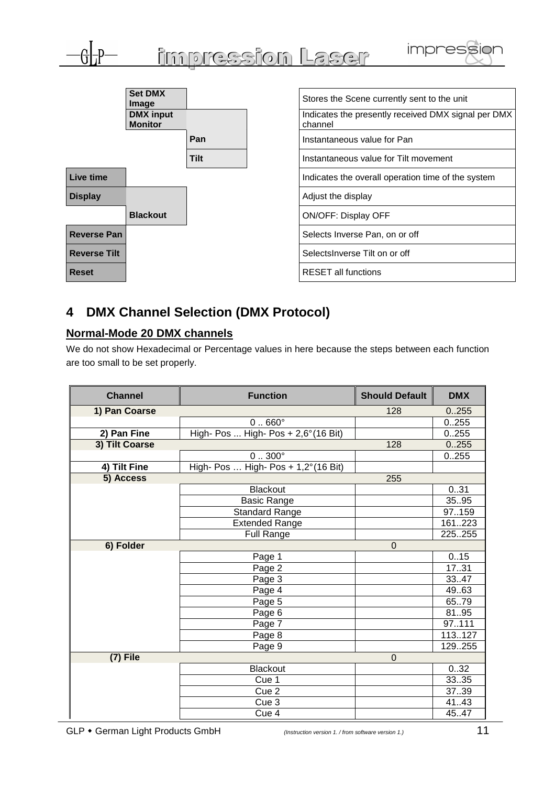

# **4 DMX Channel Selection (DMX Protocol)**

#### **Normal-Mode 20 DMX channels**

We do not show Hexadecimal or Percentage values in here because the steps between each function are too small to be set properly.

| <b>Channel</b> | <b>Function</b>                               | <b>Should Default</b> | <b>DMX</b> |
|----------------|-----------------------------------------------|-----------------------|------------|
| 1) Pan Coarse  |                                               | 128                   | 0.255      |
|                | $0.060^\circ$                                 |                       | 0.255      |
| 2) Pan Fine    | High- Pos  High- Pos + 2,6° (16 Bit)          |                       | 0.255      |
| 3) Tilt Coarse |                                               | 128                   | 0.255      |
|                | $0.0300$ °                                    |                       | 0.255      |
| 4) Tilt Fine   | High- Pos  High- Pos + $1,2^{\circ}$ (16 Bit) |                       |            |
| 5) Access      |                                               | 255                   |            |
|                | <b>Blackout</b>                               |                       | 031        |
|                | <b>Basic Range</b>                            |                       | 35.95      |
|                | <b>Standard Range</b>                         |                       | 97159      |
|                | <b>Extended Range</b>                         |                       | 161223     |
|                | Full Range                                    |                       | 225255     |
| 6) Folder      |                                               | $\mathbf 0$           |            |
|                | Page 1                                        |                       | 0.15       |
|                | Page 2                                        |                       | 1731       |
|                | Page 3                                        |                       | 33.47      |
|                | Page 4                                        |                       | 49.63      |
|                | Page 5                                        |                       | 65.79      |
|                | Page 6                                        |                       | 8195       |
|                | Page 7                                        |                       | 97111      |
|                | Page 8                                        |                       | 113.127    |
|                | Page 9                                        |                       | 129255     |
| $(7)$ File     |                                               | $\overline{0}$        |            |
|                | <b>Blackout</b>                               |                       | 0.32       |
|                | Cue 1                                         |                       | 33.35      |
|                | Cue 2                                         |                       | 37.39      |
|                | Cue <sub>3</sub>                              |                       | 41.43      |
|                | Cue 4                                         |                       | 45.47      |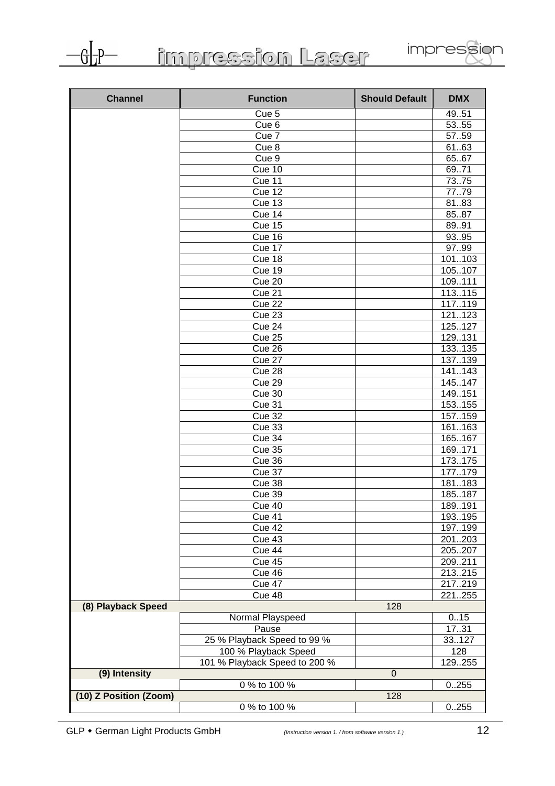

impression Laser



| <b>Channel</b>         | <b>Function</b>               | <b>Should Default</b> | <b>DMX</b> |
|------------------------|-------------------------------|-----------------------|------------|
|                        | Cue 5                         |                       | 49.51      |
|                        | Cue <sub>6</sub>              |                       | 5355       |
|                        | Cue 7                         |                       | 57.59      |
|                        | Cue <sub>8</sub>              |                       | 61.63      |
|                        | Cue 9                         |                       | 6567       |
|                        | Cue 10                        |                       | 69.71      |
|                        | Cue 11                        |                       | 73.75      |
|                        | Cue 12                        |                       | 77.79      |
|                        | Cue 13                        |                       | 8183       |
|                        | Cue 14                        |                       | 8587       |
|                        | Cue 15                        |                       | 89.91      |
|                        | Cue 16                        |                       | 9395       |
|                        | Cue 17                        |                       | 9799       |
|                        | Cue 18                        |                       | 101103     |
|                        | Cue 19                        |                       | 105107     |
|                        | Cue 20                        |                       | 109111     |
|                        | Cue 21                        |                       | 113.115    |
|                        | Cue 22                        |                       | 117.119    |
|                        | Cue 23                        |                       | 121123     |
|                        | Cue 24                        |                       | 125127     |
|                        | Cue 25                        |                       | 129131     |
|                        | Cue 26                        |                       | 133.135    |
|                        | Cue 27                        |                       | 137.139    |
|                        | Cue 28                        |                       | 141.143    |
|                        | Cue 29                        |                       | 145.147    |
|                        | Cue 30                        |                       | 149.151    |
|                        | Cue 31                        |                       | 153.155    |
|                        | <b>Cue 32</b>                 |                       | 157.159    |
|                        | Cue 33                        |                       | 161163     |
|                        | Cue 34                        |                       | 165167     |
|                        | <b>Cue 35</b>                 |                       | 169.171    |
|                        | Cue 36                        |                       | 173.175    |
|                        | Cue 37                        |                       | 177179     |
|                        | Cue 38                        |                       | 181183     |
|                        | Cue 39                        |                       | 185187     |
|                        | Cue 40                        |                       | 189191     |
|                        | Cue 41                        |                       | 193195     |
|                        | Cue 42                        |                       | 197199     |
|                        | Cue 43                        |                       | 201203     |
|                        | Cue 44                        |                       | 205207     |
|                        | Cue 45                        |                       | 209211     |
|                        | Cue 46                        |                       | 213215     |
|                        | Cue 47                        |                       | 217219     |
|                        | Cue 48                        |                       | 221255     |
| (8) Playback Speed     |                               | 128                   |            |
|                        | Normal Playspeed              |                       | 0.15       |
|                        | Pause                         |                       | 1731       |
|                        | 25 % Playback Speed to 99 %   |                       | 33127      |
|                        | 100 % Playback Speed          |                       | 128        |
|                        | 101 % Playback Speed to 200 % |                       | 129255     |
| (9) Intensity          |                               | $\mathbf 0$           |            |
|                        | 0 % to 100 %                  |                       | 0.255      |
| (10) Z Position (Zoom) |                               | 128                   |            |
|                        | 0 % to 100 %                  |                       | 0.255      |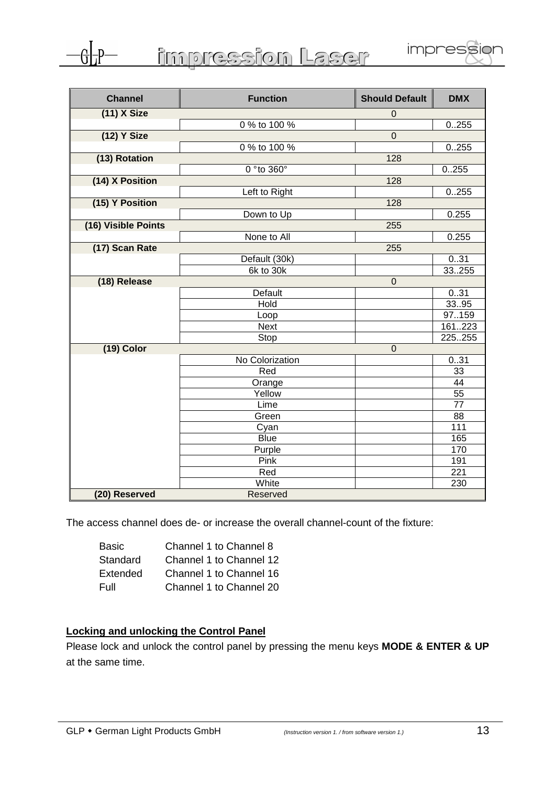

| <b>Channel</b>      | <b>Function</b> | <b>Should Default</b> | <b>DMX</b>       |
|---------------------|-----------------|-----------------------|------------------|
| $(11)$ X Size       |                 | $\mathbf 0$           |                  |
|                     | 0 % to 100 %    |                       | 0.255            |
| (12) Y Size         |                 | $\overline{0}$        |                  |
|                     | 0 % to 100 %    |                       | 0.255            |
| (13) Rotation       |                 | 128                   |                  |
|                     | 0 ° to 360°     |                       | 0.255            |
| (14) X Position     |                 | 128                   |                  |
|                     | Left to Right   |                       | 0.255            |
| (15) Y Position     |                 | 128                   |                  |
|                     | Down to Up      |                       | 0.255            |
| (16) Visible Points |                 | 255                   |                  |
|                     | None to All     |                       | 0.255            |
| (17) Scan Rate      |                 | 255                   |                  |
|                     | Default (30k)   |                       | 031              |
|                     | 6k to 30k       |                       | 33255            |
| (18) Release        |                 | $\mathbf 0$           |                  |
|                     | Default         |                       | 031              |
|                     | Hold            |                       | 3395             |
|                     | Loop            |                       | 97159            |
|                     | <b>Next</b>     |                       | 161223           |
|                     | Stop            |                       | 225255           |
| $(19)$ Color        |                 | $\mathbf 0$           |                  |
|                     | No Colorization |                       | 031              |
|                     | Red             |                       | 33               |
|                     | Orange          |                       | 44               |
|                     | Yellow          |                       | 55               |
|                     | Lime            |                       | $\overline{77}$  |
|                     | Green           |                       | 88               |
|                     | Cyan            |                       | 111              |
|                     | <b>Blue</b>     |                       | 165              |
|                     | Purple          |                       | 170              |
|                     | Pink            |                       | 191              |
|                     | Red             |                       | $\overline{221}$ |
|                     | White           |                       | 230              |
| (20) Reserved       | Reserved        |                       |                  |

The access channel does de- or increase the overall channel-count of the fixture:

| <b>Basic</b> | Channel 1 to Channel 8  |
|--------------|-------------------------|
| Standard     | Channel 1 to Channel 12 |
| Extended     | Channel 1 to Channel 16 |
| Full         | Channel 1 to Channel 20 |

## **Locking and unlocking the Control Panel**

Please lock and unlock the control panel by pressing the menu keys **MODE & ENTER & UP** at the same time.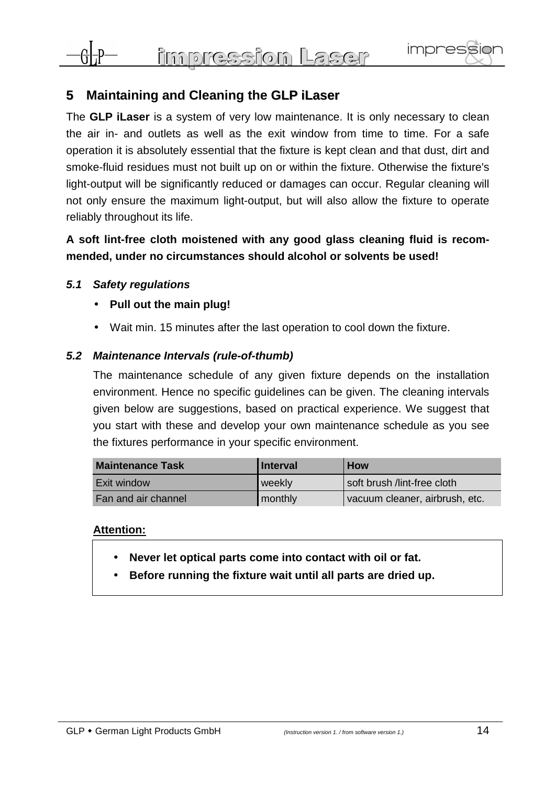

# **5 Maintaining and Cleaning the GLP iLaser**

The **GLP iLaser** is a system of very low maintenance. It is only necessary to clean the air in- and outlets as well as the exit window from time to time. For a safe operation it is absolutely essential that the fixture is kept clean and that dust, dirt and smoke-fluid residues must not built up on or within the fixture. Otherwise the fixture's light-output will be significantly reduced or damages can occur. Regular cleaning will not only ensure the maximum light-output, but will also allow the fixture to operate reliably throughout its life.

# **A soft lint-free cloth moistened with any good glass cleaning fluid is recommended, under no circumstances should alcohol or solvents be used!**

### **5.1 Safety regulations**

- **Pull out the main plug!**
- Wait min. 15 minutes after the last operation to cool down the fixture.

#### **5.2 Maintenance Intervals (rule-of-thumb)**

The maintenance schedule of any given fixture depends on the installation environment. Hence no specific guidelines can be given. The cleaning intervals given below are suggestions, based on practical experience. We suggest that you start with these and develop your own maintenance schedule as you see the fixtures performance in your specific environment.

| <b>Maintenance Task</b> | Interval | <b>How</b>                     |
|-------------------------|----------|--------------------------------|
| Exit window             | weekly   | soft brush /lint-free cloth    |
| Fan and air channel     | monthly  | vacuum cleaner, airbrush, etc. |

#### **Attention:**

- **Never let optical parts come into contact with oil or fat.**
- **Before running the fixture wait until all parts are dried up.**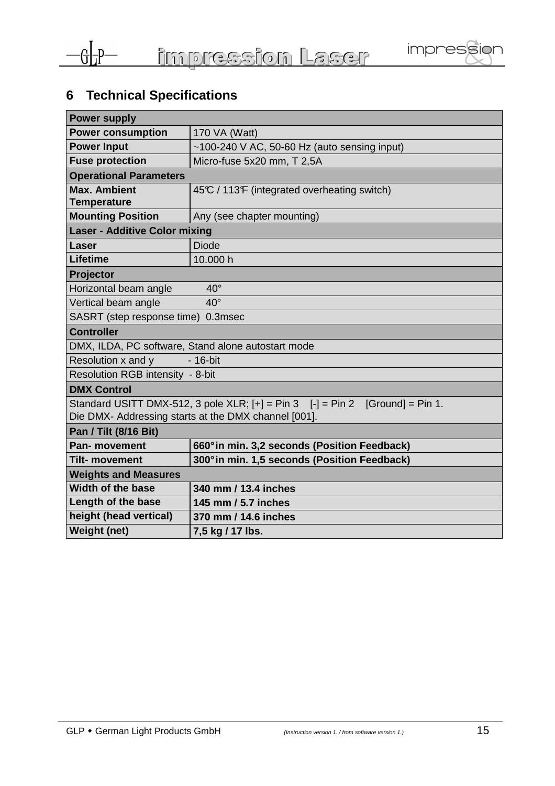



# **6 Technical Specifications**

| <b>Power supply</b>                                                                       |                                                |  |  |
|-------------------------------------------------------------------------------------------|------------------------------------------------|--|--|
| <b>Power consumption</b>                                                                  | 170 VA (Watt)                                  |  |  |
| <b>Power Input</b>                                                                        | $~100-240$ V AC, 50-60 Hz (auto sensing input) |  |  |
| <b>Fuse protection</b>                                                                    | Micro-fuse 5x20 mm, T 2,5A                     |  |  |
| <b>Operational Parameters</b>                                                             |                                                |  |  |
| <b>Max. Ambient</b>                                                                       | 45°C / 113°F (integrated overheating switch)   |  |  |
| <b>Temperature</b>                                                                        |                                                |  |  |
| <b>Mounting Position</b>                                                                  | Any (see chapter mounting)                     |  |  |
| <b>Laser - Additive Color mixing</b>                                                      |                                                |  |  |
| Laser                                                                                     | <b>Diode</b>                                   |  |  |
| <b>Lifetime</b>                                                                           | 10.000 h                                       |  |  |
| Projector                                                                                 |                                                |  |  |
| $40^{\circ}$<br>Horizontal beam angle                                                     |                                                |  |  |
| Vertical beam angle<br>$40^{\circ}$                                                       |                                                |  |  |
| SASRT (step response time) 0.3msec                                                        |                                                |  |  |
| <b>Controller</b>                                                                         |                                                |  |  |
| DMX, ILDA, PC software, Stand alone autostart mode                                        |                                                |  |  |
| $-16$ -bit<br>Resolution x and y                                                          |                                                |  |  |
| Resolution RGB intensity - 8-bit                                                          |                                                |  |  |
| <b>DMX Control</b>                                                                        |                                                |  |  |
| Standard USITT DMX-512, 3 pole $XLR$ ; $[+] = Pin 3$ $[-] = Pin 2$<br>$[Ground] = Pin 1.$ |                                                |  |  |
| Die DMX- Addressing starts at the DMX channel [001].                                      |                                                |  |  |
| Pan / Tilt (8/16 Bit)                                                                     |                                                |  |  |
| <b>Pan-</b> movement                                                                      | 660° in min. 3,2 seconds (Position Feedback)   |  |  |
| <b>Tilt- movement</b>                                                                     | 300° in min. 1,5 seconds (Position Feedback)   |  |  |
| <b>Weights and Measures</b>                                                               |                                                |  |  |
| <b>Width of the base</b>                                                                  | 340 mm / 13.4 inches                           |  |  |
| Length of the base                                                                        | 145 mm / 5.7 inches                            |  |  |
| height (head vertical)                                                                    | 370 mm / 14.6 inches                           |  |  |
| Weight (net)                                                                              | 7,5 kg / 17 lbs.                               |  |  |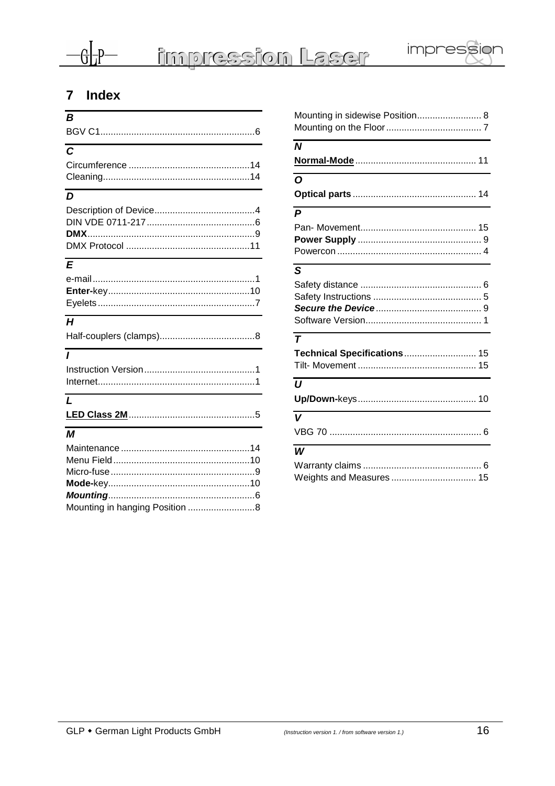

# 7 Index

| $\boldsymbol{B}$ |
|------------------|
|                  |
| $\overline{c}$   |
| $\overline{D}$   |
| E                |
| H                |
| $\overline{I}$   |
|                  |
| $\mathbf{L}$     |

| Mounting in sidewise Position 8                  |
|--------------------------------------------------|
| $\boldsymbol{N}$                                 |
| $\Omega$                                         |
| $\overline{P}$                                   |
| S                                                |
| $\overline{\tau}$<br>Technical Specifications 15 |
| $\boldsymbol{U}$                                 |
| $\overline{\mathsf{v}}$                          |
| W<br>Weights and Measures  15                    |